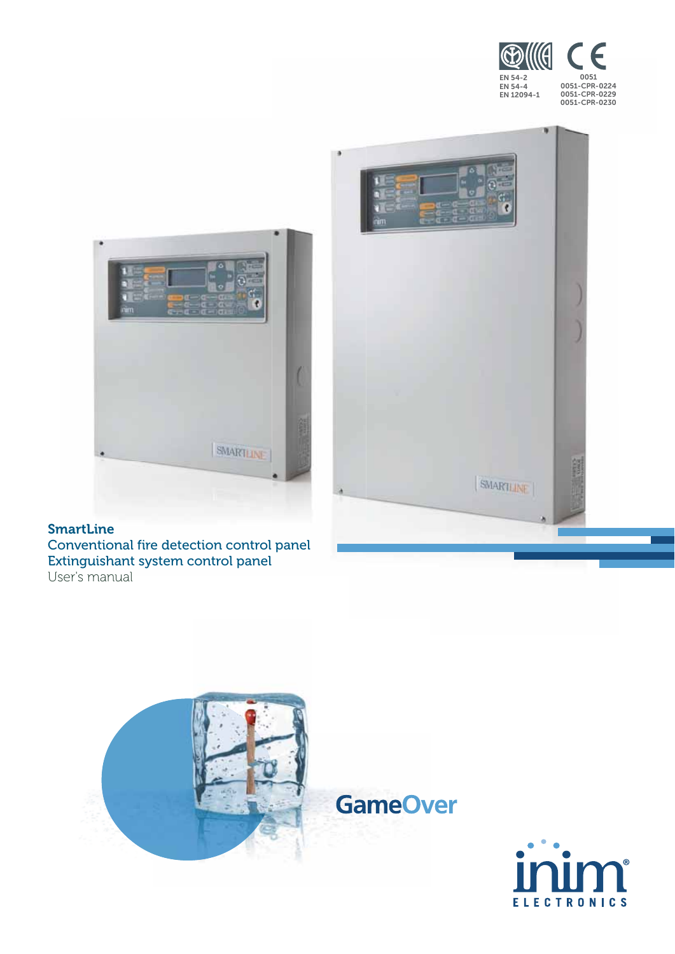



#### SmartLine Conventional fire detection control panel Extinguishant system control panel User's manual





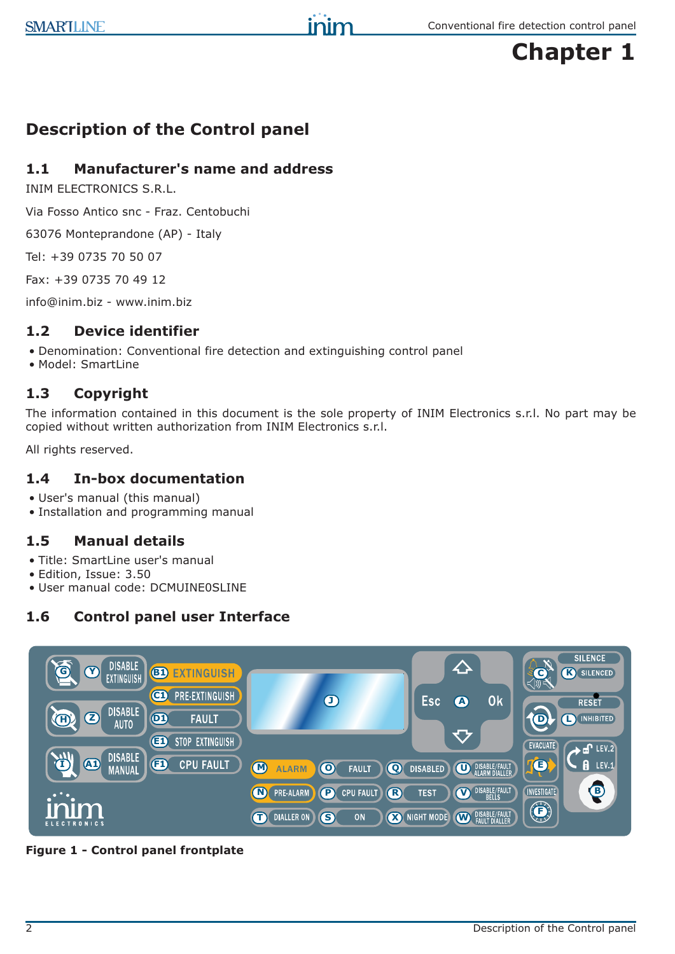

# **Description of the Control panel**

## **1.1 Manufacturer's name and address**

INIM ELECTRONICS S.R.L.

Via Fosso Antico snc - Fraz. Centobuchi

63076 Monteprandone (AP) - Italy

Tel: +39 0735 70 50 07

Fax: +39 0735 70 49 12

info@inim.biz - www.inim.biz

## **1.2 Device identifier**

- Denomination: Conventional fire detection and extinguishing control panel
- Model: SmartLine

## **1.3 Copyright**

The information contained in this document is the sole property of INIM Electronics s.r.l. No part may be copied without written authorization from INIM Electronics s.r.l.

All rights reserved.

## **1.4 In-box documentation**

- User's manual (this manual)
- Installation and programming manual

## **1.5 Manual details**

- Title: SmartLine user's manual
- Edition, Issue: 3.50
- User manual code: DCMUINE0SLINE

# **1.6 Control panel user Interface**



**Figure 1 - Control panel frontplate**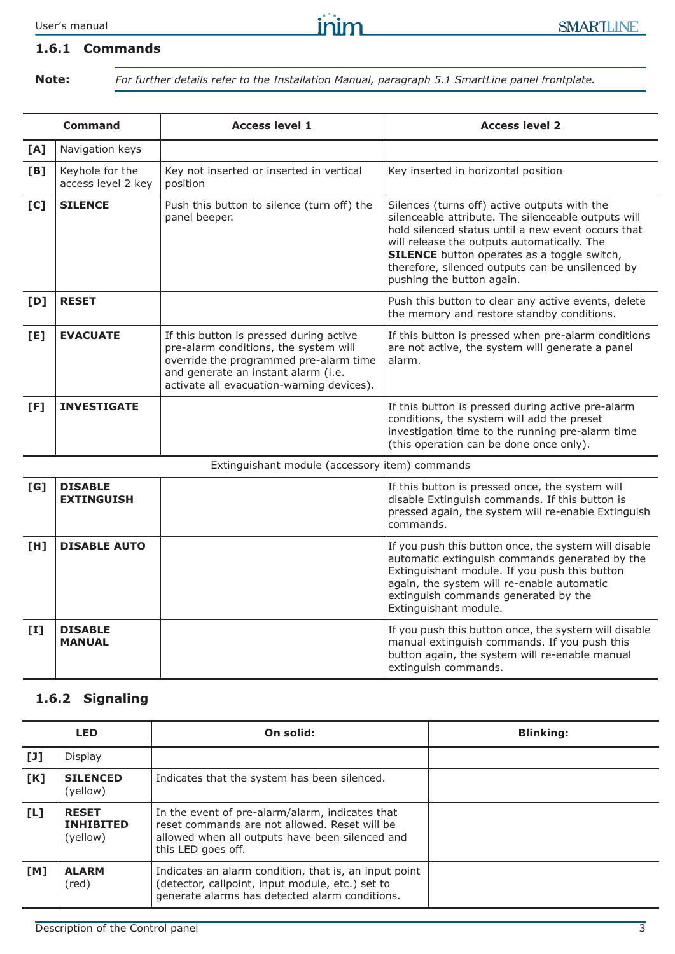#### **1.6.1 Commands**

**Note:** *For further details refer to the Installation Manual, paragraph 5.1 SmartLine panel frontplate.*

|            | <b>Command</b>                        | <b>Access level 1</b>                                                                                                                                                                                          | <b>Access level 2</b>                                                                                                                                                                                                                                                                                                                           |
|------------|---------------------------------------|----------------------------------------------------------------------------------------------------------------------------------------------------------------------------------------------------------------|-------------------------------------------------------------------------------------------------------------------------------------------------------------------------------------------------------------------------------------------------------------------------------------------------------------------------------------------------|
| [A]        | Navigation keys                       |                                                                                                                                                                                                                |                                                                                                                                                                                                                                                                                                                                                 |
| [B]        | Keyhole for the<br>access level 2 key | Key not inserted or inserted in vertical<br>position                                                                                                                                                           | Key inserted in horizontal position                                                                                                                                                                                                                                                                                                             |
| [C]        | <b>SILENCE</b>                        | Push this button to silence (turn off) the<br>panel beeper.                                                                                                                                                    | Silences (turns off) active outputs with the<br>silenceable attribute. The silenceable outputs will<br>hold silenced status until a new event occurs that<br>will release the outputs automatically. The<br><b>SILENCE</b> button operates as a toggle switch,<br>therefore, silenced outputs can be unsilenced by<br>pushing the button again. |
| [D]        | <b>RESET</b>                          |                                                                                                                                                                                                                | Push this button to clear any active events, delete<br>the memory and restore standby conditions.                                                                                                                                                                                                                                               |
| [E]        | <b>EVACUATE</b>                       | If this button is pressed during active<br>pre-alarm conditions, the system will<br>override the programmed pre-alarm time<br>and generate an instant alarm (i.e.<br>activate all evacuation-warning devices). | If this button is pressed when pre-alarm conditions<br>are not active, the system will generate a panel<br>alarm.                                                                                                                                                                                                                               |
| [F]        | <b>INVESTIGATE</b>                    |                                                                                                                                                                                                                | If this button is pressed during active pre-alarm<br>conditions, the system will add the preset<br>investigation time to the running pre-alarm time<br>(this operation can be done once only).                                                                                                                                                  |
|            |                                       | Extinguishant module (accessory item) commands                                                                                                                                                                 |                                                                                                                                                                                                                                                                                                                                                 |
| <b>ECT</b> | <b>NTCADIE</b>                        |                                                                                                                                                                                                                | If this button is proceed once the system will                                                                                                                                                                                                                                                                                                  |

| [G]          | <b>DISABLE</b><br><b>EXTINGUISH</b> | If this button is pressed once, the system will<br>disable Extinguish commands. If this button is<br>pressed again, the system will re-enable Extinguish<br>commands.                                                                                                   |
|--------------|-------------------------------------|-------------------------------------------------------------------------------------------------------------------------------------------------------------------------------------------------------------------------------------------------------------------------|
| [H]          | <b>DISABLE AUTO</b>                 | If you push this button once, the system will disable<br>automatic extinguish commands generated by the<br>Extinguishant module. If you push this button<br>again, the system will re-enable automatic<br>extinguish commands generated by the<br>Extinguishant module. |
| $\mathbf{I}$ | <b>DISABLE</b><br><b>MANUAL</b>     | If you push this button once, the system will disable<br>manual extinguish commands. If you push this<br>button again, the system will re-enable manual<br>extinguish commands.                                                                                         |

## **1.6.2 Signaling**

| <b>LED</b> |                                              | On solid:                                                                                                                                                                 | <b>Blinking:</b> |
|------------|----------------------------------------------|---------------------------------------------------------------------------------------------------------------------------------------------------------------------------|------------------|
| [J]        | Display                                      |                                                                                                                                                                           |                  |
| [K]        | <b>SILENCED</b><br>(yellow)                  | Indicates that the system has been silenced.                                                                                                                              |                  |
| [L]        | <b>RESET</b><br><b>INHIBITED</b><br>(yellow) | In the event of pre-alarm/alarm, indicates that<br>reset commands are not allowed. Reset will be<br>allowed when all outputs have been silenced and<br>this LED goes off. |                  |
| TM1        | <b>ALARM</b><br>(red)                        | Indicates an alarm condition, that is, an input point<br>(detector, callpoint, input module, etc.) set to<br>generate alarms has detected alarm conditions.               |                  |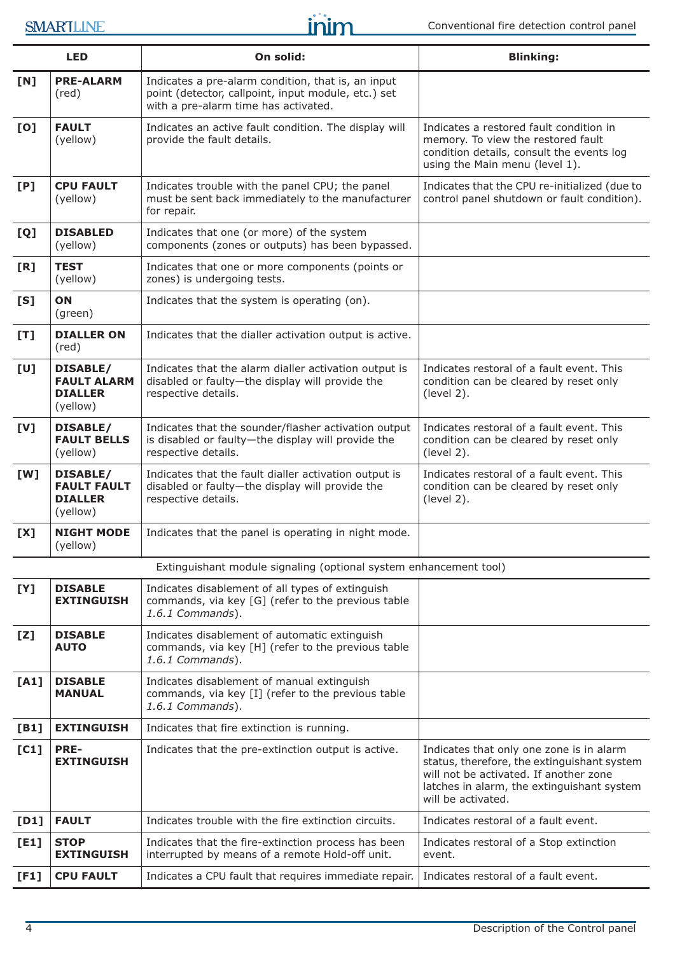# SMARTLINE

|      | <b>LED</b>                                                                                                                                              | On solid:                                                                                                                                         | <b>Blinking:</b>                                                                                                                                                                                      |
|------|---------------------------------------------------------------------------------------------------------------------------------------------------------|---------------------------------------------------------------------------------------------------------------------------------------------------|-------------------------------------------------------------------------------------------------------------------------------------------------------------------------------------------------------|
| [N]  | <b>PRE-ALARM</b><br>(red)                                                                                                                               | Indicates a pre-alarm condition, that is, an input<br>point (detector, callpoint, input module, etc.) set<br>with a pre-alarm time has activated. |                                                                                                                                                                                                       |
| [0]  | <b>FAULT</b><br>(yellow)                                                                                                                                | Indicates an active fault condition. The display will<br>provide the fault details.                                                               | Indicates a restored fault condition in<br>memory. To view the restored fault<br>condition details, consult the events log<br>using the Main menu (level 1).                                          |
| [P]  | <b>CPU FAULT</b><br>(yellow)                                                                                                                            | Indicates trouble with the panel CPU; the panel<br>must be sent back immediately to the manufacturer<br>for repair.                               | Indicates that the CPU re-initialized (due to<br>control panel shutdown or fault condition).                                                                                                          |
| [Q]  | <b>DISABLED</b><br>(yellow)                                                                                                                             | Indicates that one (or more) of the system<br>components (zones or outputs) has been bypassed.                                                    |                                                                                                                                                                                                       |
| [R]  | <b>TEST</b><br>(yellow)                                                                                                                                 | Indicates that one or more components (points or<br>zones) is undergoing tests.                                                                   |                                                                                                                                                                                                       |
| [S]  | ON<br>(green)                                                                                                                                           | Indicates that the system is operating (on).                                                                                                      |                                                                                                                                                                                                       |
| [T]  | <b>DIALLER ON</b><br>$(\text{red})$                                                                                                                     | Indicates that the dialler activation output is active.                                                                                           |                                                                                                                                                                                                       |
| [U]  | <b>DISABLE/</b><br><b>FAULT ALARM</b><br><b>DIALLER</b><br>(yellow)                                                                                     | Indicates that the alarm dialler activation output is<br>disabled or faulty-the display will provide the<br>respective details.                   | Indicates restoral of a fault event. This<br>condition can be cleared by reset only<br>(level 2).                                                                                                     |
| [V]  | <b>DISABLE/</b><br><b>FAULT BELLS</b><br>(yellow)                                                                                                       | Indicates that the sounder/flasher activation output<br>is disabled or faulty-the display will provide the<br>respective details.                 | Indicates restoral of a fault event. This<br>condition can be cleared by reset only<br>(level 2).                                                                                                     |
| [W]  | <b>DISABLE/</b><br><b>FAULT FAULT</b><br><b>DIALLER</b><br>(yellow)                                                                                     | Indicates that the fault dialler activation output is<br>disabled or faulty-the display will provide the<br>respective details.                   | Indicates restoral of a fault event. This<br>condition can be cleared by reset only<br>(level 2).                                                                                                     |
| [X]  | <b>NIGHT MODE</b><br>(yellow)                                                                                                                           | Indicates that the panel is operating in night mode.                                                                                              |                                                                                                                                                                                                       |
|      |                                                                                                                                                         | Extinguishant module signaling (optional system enhancement tool)                                                                                 |                                                                                                                                                                                                       |
| [Y]  | <b>DISABLE</b><br><b>EXTINGUISH</b>                                                                                                                     | Indicates disablement of all types of extinguish<br>commands, via key [G] (refer to the previous table<br>1.6.1 Commands).                        |                                                                                                                                                                                                       |
| [Z]  | <b>DISABLE</b><br><b>AUTO</b>                                                                                                                           | Indicates disablement of automatic extinguish<br>commands, via key [H] (refer to the previous table<br>1.6.1 Commands).                           |                                                                                                                                                                                                       |
| [A1] | <b>DISABLE</b><br>Indicates disablement of manual extinguish<br><b>MANUAL</b><br>commands, via key [I] (refer to the previous table<br>1.6.1 Commands). |                                                                                                                                                   |                                                                                                                                                                                                       |
| [B1] | <b>EXTINGUISH</b>                                                                                                                                       | Indicates that fire extinction is running.                                                                                                        |                                                                                                                                                                                                       |
| [C1] | <b>PRE-</b><br><b>EXTINGUISH</b>                                                                                                                        | Indicates that the pre-extinction output is active.                                                                                               | Indicates that only one zone is in alarm<br>status, therefore, the extinguishant system<br>will not be activated. If another zone<br>latches in alarm, the extinguishant system<br>will be activated. |
| [D1] | <b>FAULT</b>                                                                                                                                            | Indicates trouble with the fire extinction circuits.                                                                                              | Indicates restoral of a fault event.                                                                                                                                                                  |
| [E1] | <b>STOP</b><br><b>EXTINGUISH</b>                                                                                                                        | Indicates that the fire-extinction process has been<br>interrupted by means of a remote Hold-off unit.                                            | Indicates restoral of a Stop extinction<br>event.                                                                                                                                                     |
| [F1] | <b>CPU FAULT</b>                                                                                                                                        | Indicates a CPU fault that requires immediate repair.                                                                                             | Indicates restoral of a fault event.                                                                                                                                                                  |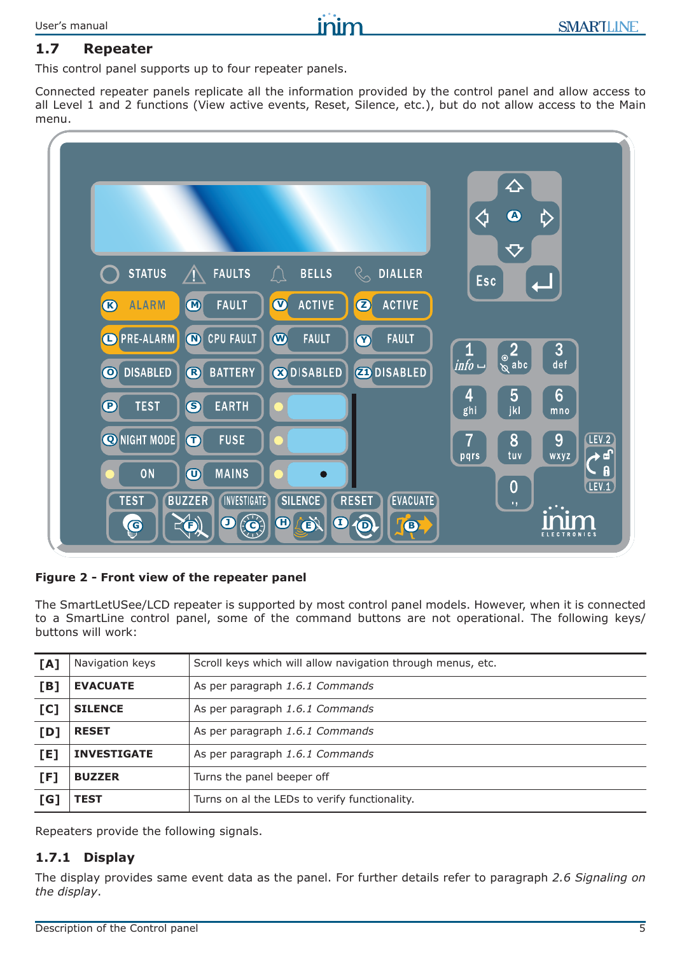# **1.7 Repeater**

This control panel supports up to four repeater panels.

Connected repeater panels replicate all the information provided by the control panel and allow access to all Level 1 and 2 functions (View active events, Reset, Silence, etc.), but do not allow access to the Main menu.



#### **Figure 2 - Front view of the repeater panel**

The SmartLetUSee/LCD repeater is supported by most control panel models. However, when it is connected to a SmartLine control panel, some of the command buttons are not operational. The following keys/ buttons will work:

| [A] | Navigation keys    | Scroll keys which will allow navigation through menus, etc. |
|-----|--------------------|-------------------------------------------------------------|
| [B] | <b>EVACUATE</b>    | As per paragraph 1.6.1 Commands                             |
| [C] | <b>SILENCE</b>     | As per paragraph 1.6.1 Commands                             |
| [D] | <b>RESET</b>       | As per paragraph 1.6.1 Commands                             |
| [E] | <b>INVESTIGATE</b> | As per paragraph 1.6.1 Commands                             |
| [F] | <b>BUZZER</b>      | Turns the panel beeper off                                  |
| [G] | <b>TEST</b>        | Turns on al the LEDs to verify functionality.               |

Repeaters provide the following signals.

## **1.7.1 Display**

The display provides same event data as the panel. For further details refer to paragraph *2.6 Signaling on the display*.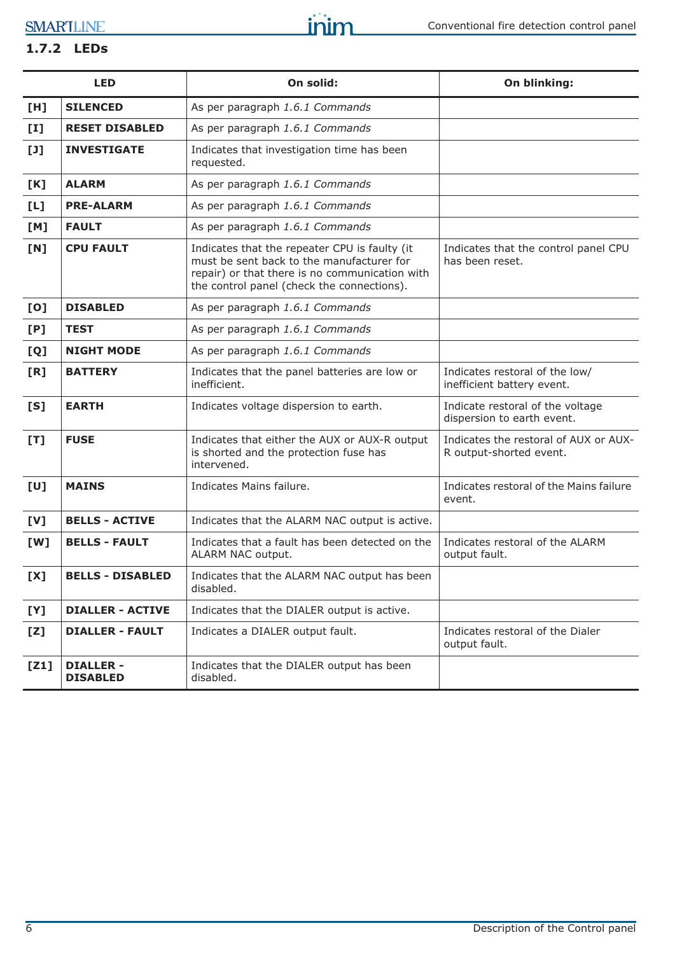SMARTLINE

# **1.7.2 LEDs**

|       | <b>LED</b>                          | On solid:                                                                                                                                                                                  | On blinking:                                                     |
|-------|-------------------------------------|--------------------------------------------------------------------------------------------------------------------------------------------------------------------------------------------|------------------------------------------------------------------|
| [H]   | <b>SILENCED</b>                     | As per paragraph 1.6.1 Commands                                                                                                                                                            |                                                                  |
| $[1]$ | <b>RESET DISABLED</b>               | As per paragraph 1.6.1 Commands                                                                                                                                                            |                                                                  |
| $[1]$ | <b>INVESTIGATE</b>                  | Indicates that investigation time has been<br>requested.                                                                                                                                   |                                                                  |
| [K]   | <b>ALARM</b>                        | As per paragraph 1.6.1 Commands                                                                                                                                                            |                                                                  |
| [L]   | <b>PRE-ALARM</b>                    | As per paragraph 1.6.1 Commands                                                                                                                                                            |                                                                  |
| [M]   | <b>FAULT</b>                        | As per paragraph 1.6.1 Commands                                                                                                                                                            |                                                                  |
| [N]   | <b>CPU FAULT</b>                    | Indicates that the repeater CPU is faulty (it<br>must be sent back to the manufacturer for<br>repair) or that there is no communication with<br>the control panel (check the connections). | Indicates that the control panel CPU<br>has been reset.          |
| [0]   | <b>DISABLED</b>                     | As per paragraph 1.6.1 Commands                                                                                                                                                            |                                                                  |
| [P]   | <b>TEST</b>                         | As per paragraph 1.6.1 Commands                                                                                                                                                            |                                                                  |
| [Q]   | <b>NIGHT MODE</b>                   | As per paragraph 1.6.1 Commands                                                                                                                                                            |                                                                  |
| [R]   | <b>BATTERY</b>                      | Indicates that the panel batteries are low or<br>inefficient.                                                                                                                              | Indicates restoral of the low/<br>inefficient battery event.     |
| [S]   | <b>EARTH</b>                        | Indicates voltage dispersion to earth.                                                                                                                                                     | Indicate restoral of the voltage<br>dispersion to earth event.   |
| [T]   | <b>FUSE</b>                         | Indicates that either the AUX or AUX-R output<br>is shorted and the protection fuse has<br>intervened.                                                                                     | Indicates the restoral of AUX or AUX-<br>R output-shorted event. |
| [U]   | <b>MAINS</b>                        | Indicates Mains failure.                                                                                                                                                                   | Indicates restoral of the Mains failure<br>event.                |
| [V]   | <b>BELLS - ACTIVE</b>               | Indicates that the ALARM NAC output is active.                                                                                                                                             |                                                                  |
| [W]   | <b>BELLS - FAULT</b>                | Indicates that a fault has been detected on the<br>ALARM NAC output.                                                                                                                       | Indicates restoral of the ALARM<br>output fault.                 |
| [X]   | <b>BELLS - DISABLED</b>             | Indicates that the ALARM NAC output has been<br>disabled.                                                                                                                                  |                                                                  |
| [Y]   | <b>DIALLER - ACTIVE</b>             | Indicates that the DIALER output is active.                                                                                                                                                |                                                                  |
| [Z]   | <b>DIALLER - FAULT</b>              | Indicates a DIALER output fault.                                                                                                                                                           | Indicates restoral of the Dialer<br>output fault.                |
| [Z1]  | <b>DIALLER -</b><br><b>DISABLED</b> | Indicates that the DIALER output has been<br>disabled.                                                                                                                                     |                                                                  |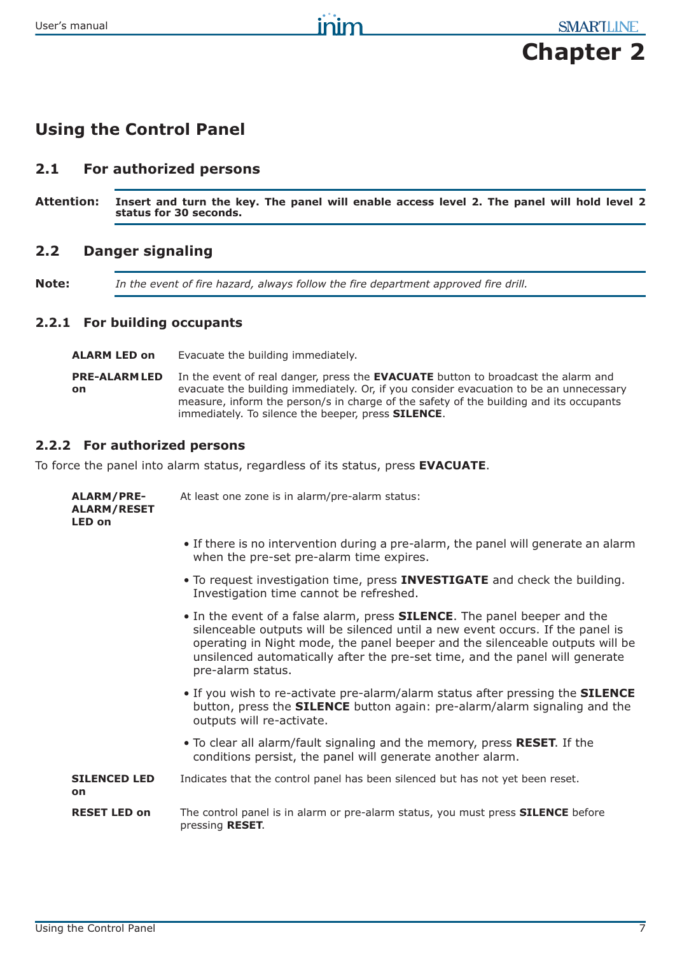# **Chapter 2**

# **Using the Control Panel**

# **2.1 For authorized persons**

**Attention: Insert and turn the key. The panel will enable access level 2. The panel will hold level 2 status for 30 seconds.**

# **2.2 Danger signaling**

**Note:** *In the event of fire hazard, always follow the fire department approved fire drill.*

## **2.2.1 For building occupants**

**ALARM LED on** Evacuate the building immediately.

**PRE-ALARM LED on** In the event of real danger, press the **EVACUATE** button to broadcast the alarm and evacuate the building immediately. Or, if you consider evacuation to be an unnecessary measure, inform the person/s in charge of the safety of the building and its occupants immediately. To silence the beeper, press **SILENCE**.

## **2.2.2 For authorized persons**

To force the panel into alarm status, regardless of its status, press **EVACUATE**.

| <b>ALARM/PRE-</b><br><b>ALARM/RESET</b><br>LED on | At least one zone is in alarm/pre-alarm status:                                                                                                                                                                                                                                                                                                          |  |
|---------------------------------------------------|----------------------------------------------------------------------------------------------------------------------------------------------------------------------------------------------------------------------------------------------------------------------------------------------------------------------------------------------------------|--|
|                                                   | • If there is no intervention during a pre-alarm, the panel will generate an alarm<br>when the pre-set pre-alarm time expires.                                                                                                                                                                                                                           |  |
|                                                   | . To request investigation time, press <b>INVESTIGATE</b> and check the building.<br>Investigation time cannot be refreshed.                                                                                                                                                                                                                             |  |
|                                                   | • In the event of a false alarm, press <b>SILENCE</b> . The panel beeper and the<br>silenceable outputs will be silenced until a new event occurs. If the panel is<br>operating in Night mode, the panel beeper and the silenceable outputs will be<br>unsilenced automatically after the pre-set time, and the panel will generate<br>pre-alarm status. |  |
|                                                   | . If you wish to re-activate pre-alarm/alarm status after pressing the <b>SILENCE</b><br>button, press the <b>SILENCE</b> button again: pre-alarm/alarm signaling and the<br>outputs will re-activate.                                                                                                                                                   |  |
|                                                   | • To clear all alarm/fault signaling and the memory, press RESET. If the<br>conditions persist, the panel will generate another alarm.                                                                                                                                                                                                                   |  |
| <b>SILENCED LED</b><br>on                         | Indicates that the control panel has been silenced but has not yet been reset.                                                                                                                                                                                                                                                                           |  |
| <b>RESET LED on</b>                               | The control panel is in alarm or pre-alarm status, you must press <b>SILENCE</b> before<br>pressing RESET.                                                                                                                                                                                                                                               |  |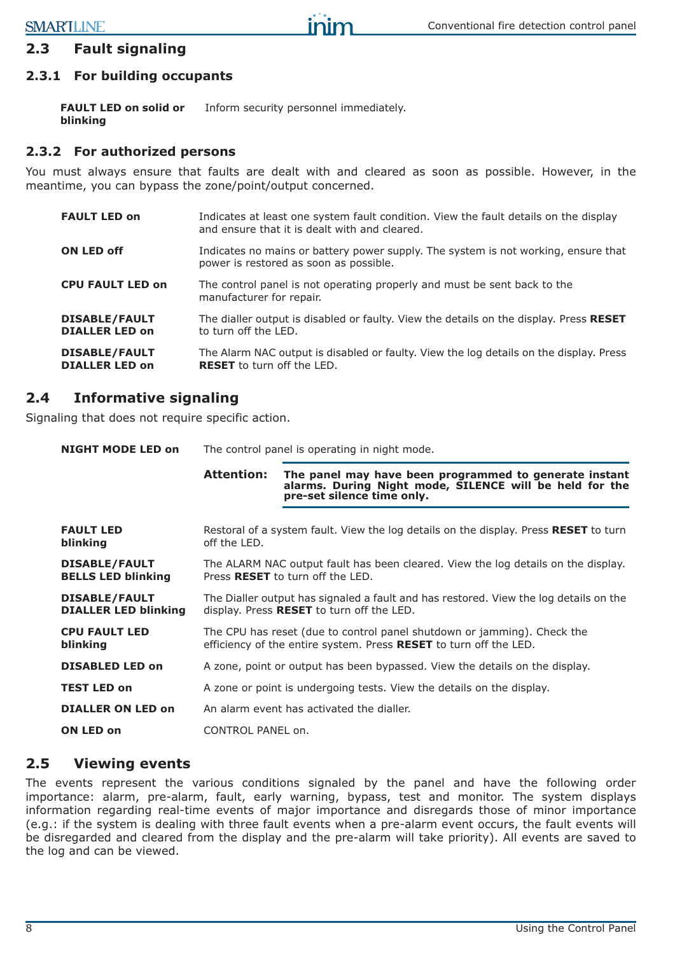## **2.3 Fault signaling**

## **2.3.1 For building occupants**

**FAULT LED on solid or blinking** Inform security personnel immediately.

## **2.3.2 For authorized persons**

You must always ensure that faults are dealt with and cleared as soon as possible. However, in the meantime, you can bypass the zone/point/output concerned.

| <b>FAULT LED on</b>                           | Indicates at least one system fault condition. View the fault details on the display<br>and ensure that it is dealt with and cleared. |
|-----------------------------------------------|---------------------------------------------------------------------------------------------------------------------------------------|
| <b>ON LED off</b>                             | Indicates no mains or battery power supply. The system is not working, ensure that<br>power is restored as soon as possible.          |
| <b>CPU FAULT LED on</b>                       | The control panel is not operating properly and must be sent back to the<br>manufacturer for repair.                                  |
| <b>DISABLE/FAULT</b><br><b>DIALLER LED on</b> | The dialler output is disabled or faulty. View the details on the display. Press RESET<br>to turn off the LED.                        |
| <b>DISABLE/FAULT</b><br><b>DIALLER LED on</b> | The Alarm NAC output is disabled or faulty. View the log details on the display. Press<br><b>RESET</b> to turn off the LED.           |

## **2.4 Informative signaling**

Signaling that does not require specific action.

| <b>NIGHT MODE LED on</b>                            |                                                                                                                                              | The control panel is operating in night mode.                                                                                                   |  |
|-----------------------------------------------------|----------------------------------------------------------------------------------------------------------------------------------------------|-------------------------------------------------------------------------------------------------------------------------------------------------|--|
|                                                     | <b>Attention:</b>                                                                                                                            | The panel may have been programmed to generate instant<br>alarms. During Night mode, SILENCE will be held for the<br>pre-set silence time only. |  |
| <b>FAULT LED</b><br>blinking                        | Restoral of a system fault. View the log details on the display. Press RESET to turn<br>off the LED.                                         |                                                                                                                                                 |  |
| <b>DISABLE/FAULT</b><br><b>BELLS LED blinking</b>   | The ALARM NAC output fault has been cleared. View the log details on the display.<br>Press <b>RESET</b> to turn off the LED.                 |                                                                                                                                                 |  |
| <b>DISABLE/FAULT</b><br><b>DIALLER LED blinking</b> | The Dialler output has signaled a fault and has restored. View the log details on the<br>display. Press RESET to turn off the LED.           |                                                                                                                                                 |  |
| <b>CPU FAULT LED</b><br>blinking                    | The CPU has reset (due to control panel shutdown or jamming). Check the<br>efficiency of the entire system. Press RESET to turn off the LED. |                                                                                                                                                 |  |
| <b>DISABLED LED on</b>                              |                                                                                                                                              | A zone, point or output has been bypassed. View the details on the display.                                                                     |  |
| <b>TEST LED on</b>                                  | A zone or point is undergoing tests. View the details on the display.                                                                        |                                                                                                                                                 |  |
| <b>DIALLER ON LED on</b>                            | An alarm event has activated the dialler.                                                                                                    |                                                                                                                                                 |  |
| ON LED on<br>CONTROL PANEL on.                      |                                                                                                                                              |                                                                                                                                                 |  |

## **2.5 Viewing events**

The events represent the various conditions signaled by the panel and have the following order importance: alarm, pre-alarm, fault, early warning, bypass, test and monitor. The system displays information regarding real-time events of major importance and disregards those of minor importance (e.g.: if the system is dealing with three fault events when a pre-alarm event occurs, the fault events will be disregarded and cleared from the display and the pre-alarm will take priority). All events are saved to the log and can be viewed.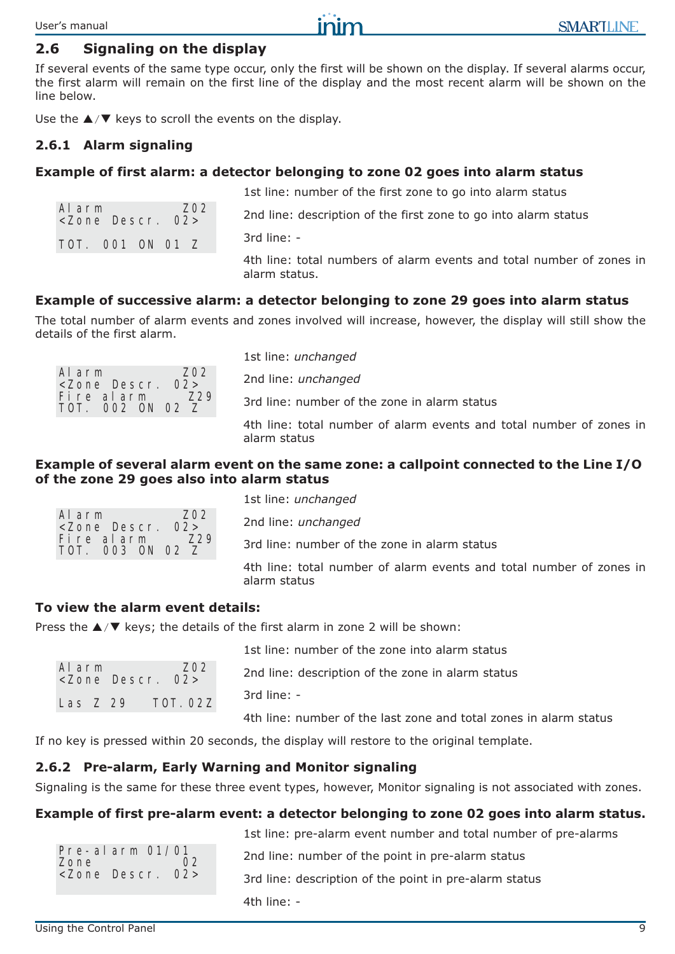#### **SMARTLINE**

#### **2.6 Signaling on the display**

If several events of the same type occur, only the first will be shown on the display. If several alarms occur, the first alarm will remain on the first line of the display and the most recent alarm will be shown on the line below.

Use the  $\triangle$ / $\nabla$  keys to scroll the events on the display.

#### **2.6.1 Alarm signaling**

#### **Example of first alarm: a detector belonging to zone 02 goes into alarm status**

1st line: number of the first zone to go into alarm status

2nd line: description of the first zone to go into alarm status

| TOT. 001 ON 01 Z |  |  |
|------------------|--|--|

Alarm Z02 <Zone Descr. 02>

3rd line: -

4th line: total numbers of alarm events and total number of zones in alarm status.

#### **Example of successive alarm: a detector belonging to zone 29 goes into alarm status**

The total number of alarm events and zones involved will increase, however, the display will still show the details of the first alarm.

| 7.02<br>Alarm             |  |  |  |       |
|---------------------------|--|--|--|-------|
| $\langle$ Zone Descr. 02> |  |  |  |       |
| Fire alarm                |  |  |  | 7.2.9 |
| TOT. 002 ON 02 Z          |  |  |  |       |

1st line: *unchanged* 2nd line: *unchanged* 3rd line: number of the zone in alarm status 4th line: total number of alarm events and total number of zones in alarm status

#### **Example of several alarm event on the same zone: a callpoint connected to the Line I/O of the zone 29 goes also into alarm status**

| Alarm                         |  | Z <sub>0</sub> 2 |
|-------------------------------|--|------------------|
| <zone 02="" descr.=""></zone> |  |                  |
| Fire alarm                    |  | 7.2.9            |
| TOT. 003 ON 02 Z              |  |                  |

1st line: *unchanged* 2nd line: *unchanged* 3rd line: number of the zone in alarm status 4th line: total number of alarm events and total number of zones in alarm status

#### **To view the alarm event details:**

Press the  $\triangle$ / $\nabla$  keys; the details of the first alarm in zone 2 will be shown:

| Alarm    | <zone 02="" descr.=""></zone> | Z <sub>0</sub> 2 |
|----------|-------------------------------|------------------|
| Las Z 29 |                               | TOT. 02Z         |

1st line: number of the zone into alarm status 2nd line: description of the zone in alarm status 3rd line: - 4th line: number of the last zone and total zones in alarm status

If no key is pressed within 20 seconds, the display will restore to the original template.

#### **2.6.2 Pre-alarm, Early Warning and Monitor signaling**

Signaling is the same for these three event types, however, Monitor signaling is not associated with zones.

#### **Example of first pre-alarm event: a detector belonging to zone 02 goes into alarm status.**

|                                                                               | 1st line: pre-alarm event number and total number of pre-alarms |
|-------------------------------------------------------------------------------|-----------------------------------------------------------------|
| Pre-alarm $01/01$<br>Zone<br>02 <sub>1</sub><br><zone 02="" descr.=""></zone> | 2nd line: number of the point in pre-alarm status               |
|                                                                               | 3rd line: description of the point in pre-alarm status          |
|                                                                               | 4th line: $-$                                                   |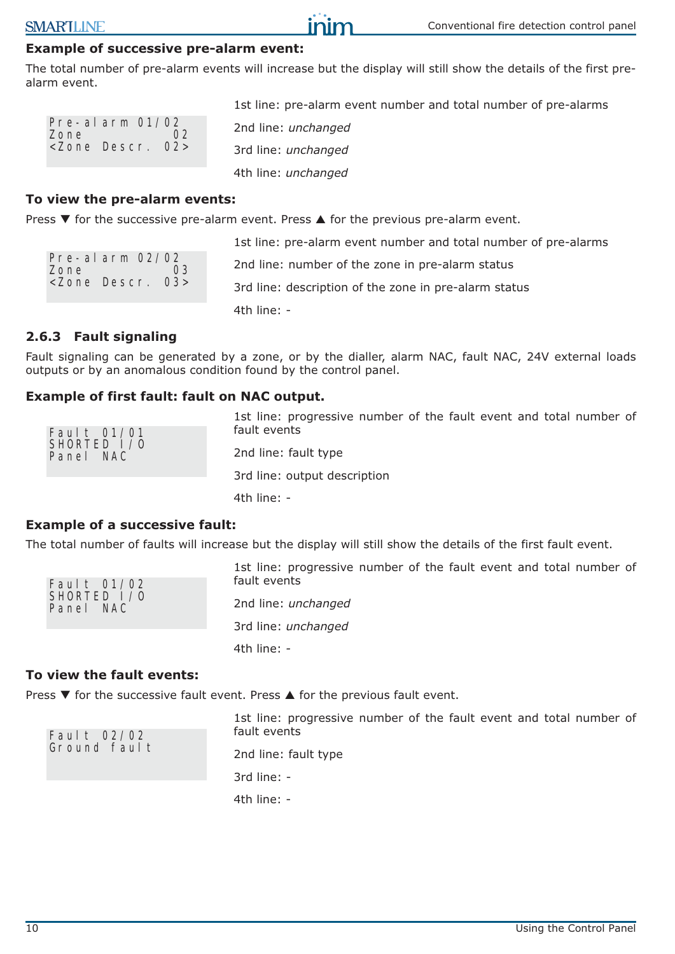## **Example of successive pre-alarm event:**

The total number of pre-alarm events will increase but the display will still show the details of the first prealarm event.

inin

Pre-alarm 01/02 Zone 02 <Zone Descr. 02>

1st line: pre-alarm event number and total number of pre-alarms 2nd line: *unchanged* 3rd line: *unchanged* 4th line: *unchanged*

#### **To view the pre-alarm events:**

Press  $\blacktriangledown$  for the successive pre-alarm event. Press  $\blacktriangle$  for the previous pre-alarm event.

Pre-alarm 02/02 Zone 03 <Zone Descr. 03>

1st line: pre-alarm event number and total number of pre-alarms 2nd line: number of the zone in pre-alarm status 3rd line: description of the zone in pre-alarm status 4th line: -

## **2.6.3 Fault signaling**

Fault signaling can be generated by a zone, or by the dialler, alarm NAC, fault NAC, 24V external loads outputs or by an anomalous condition found by the control panel.

## **Example of first fault: fault on NAC output.**

|                                             | 1st line: progressive number of the fault event and total number of |
|---------------------------------------------|---------------------------------------------------------------------|
| Fault $01/01$<br>SHORTED $1/0$<br>Panel NAC | fault events                                                        |
|                                             | 2nd line: fault type                                                |
|                                             | 3rd line: output description                                        |
|                                             | 4th line: $-$                                                       |

## **Example of a successive fault:**

The total number of faults will increase but the display will still show the details of the first fault event.

| Fault $01/02$ |  |
|---------------|--|
|               |  |
| SHORTED $1/0$ |  |
| Panel NAC     |  |
|               |  |

1st line: progressive number of the fault event and total number of fault events 2nd line: *unchanged* 3rd line: *unchanged* 4th line: *-*

#### **To view the fault events:**

Fault 02/02 Ground fault

Press  $\blacktriangledown$  for the successive fault event. Press  $\blacktriangle$  for the previous fault event.

1st line: progressive number of the fault event and total number of fault events

2nd line: fault type 3rd line: - 4th line: -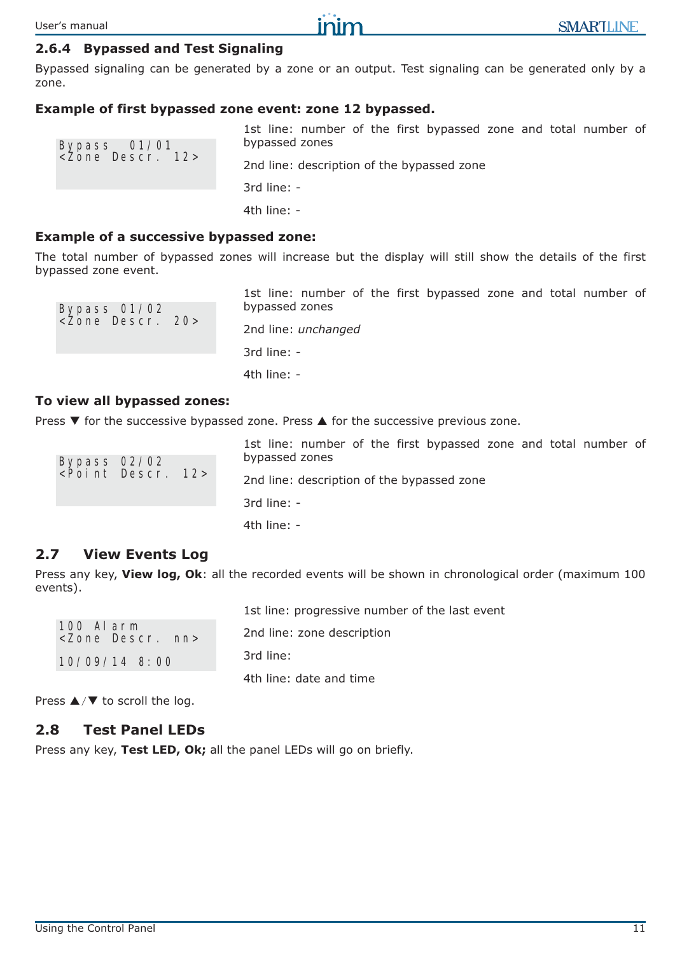Using the Control Panel 11

User's manual

Bypassed signaling can be generated by a zone or an output. Test signaling can be generated only by a zone.

## **Example of first bypassed zone event: zone 12 bypassed.**

| Bypass 01/01<br><zone 12="" descr.=""></zone> | 1st line: number of the first bypassed zone and total number of<br>bypassed zones |
|-----------------------------------------------|-----------------------------------------------------------------------------------|
|                                               | 2nd line: description of the bypassed zone                                        |
|                                               | $3rd$ line: $-$                                                                   |
|                                               | 4th line: $-$                                                                     |

#### **Example of a successive bypassed zone:**

The total number of bypassed zones will increase but the display will still show the details of the first bypassed zone event.

1st line: number of the first bypassed zone and total number of bypassed zones 2nd line: *unchanged* 3rd line: - 4th line: *-* **To view all bypassed zones:** Press  $\blacktriangledown$  for the successive bypassed zone. Press  $\blacktriangle$  for the successive previous zone.

1st line: number of the first bypassed zone and total number of bypassed zones 2nd line: description of the bypassed zone Bypass 02/02 <Point Descr. 12>

3rd line: - 4th line: -

## **2.7 View Events Log**

Bypass 01/02 <Zone Descr. 20>

Press any key, **View log, Ok**: all the recorded events will be shown in chronological order (maximum 100 events).

1st line: progressive number of the last event 2nd line: zone description 3rd line: 4th line: date and time 100 Alarm <Zone Descr. nn> 10/09/14 8:00

Press  $\triangle$ / $\nabla$  to scroll the log.

## **2.8 Test Panel LEDs**

Press any key, **Test LED, Ok;** all the panel LEDs will go on briefly.